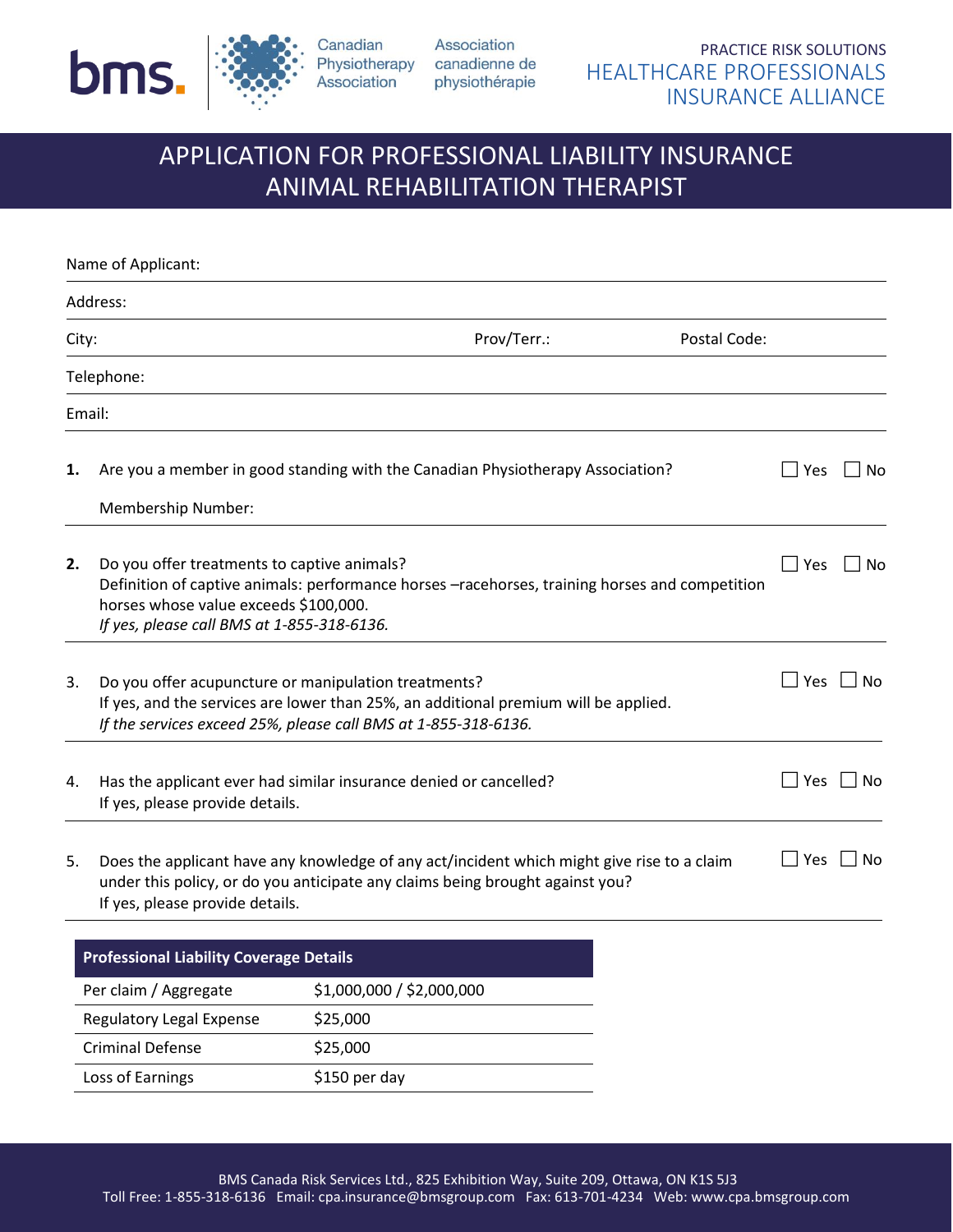

Association Physiotherapy canadienne de physiothérapie

# APPLICATION FOR PROFESSIONAL LIABILITY INSURANCE ANIMAL REHABILITATION THERAPIST

|       | Name of Applicant:                                                                                                                                                                                             |                                                                                                                                                                                                               |     |       |
|-------|----------------------------------------------------------------------------------------------------------------------------------------------------------------------------------------------------------------|---------------------------------------------------------------------------------------------------------------------------------------------------------------------------------------------------------------|-----|-------|
|       | Address:                                                                                                                                                                                                       |                                                                                                                                                                                                               |     |       |
| City: |                                                                                                                                                                                                                | Prov/Terr.:<br>Postal Code:                                                                                                                                                                                   |     |       |
|       | Telephone:                                                                                                                                                                                                     |                                                                                                                                                                                                               |     |       |
|       | Email:                                                                                                                                                                                                         |                                                                                                                                                                                                               |     |       |
| 1.    |                                                                                                                                                                                                                | Are you a member in good standing with the Canadian Physiotherapy Association?                                                                                                                                | Yes | No    |
|       | Membership Number:                                                                                                                                                                                             |                                                                                                                                                                                                               |     |       |
| 2.    | Do you offer treatments to captive animals?<br>horses whose value exceeds \$100,000.<br>If yes, please call BMS at 1-855-318-6136.                                                                             | Definition of captive animals: performance horses -racehorses, training horses and competition                                                                                                                | Yes | No    |
| 3.    |                                                                                                                                                                                                                | Do you offer acupuncture or manipulation treatments?<br>If yes, and the services are lower than 25%, an additional premium will be applied.<br>If the services exceed 25%, please call BMS at 1-855-318-6136. | Yes | l INo |
| 4.    | Has the applicant ever had similar insurance denied or cancelled?<br>If yes, please provide details.                                                                                                           |                                                                                                                                                                                                               | Yes | No    |
| 5.    | Does the applicant have any knowledge of any act/incident which might give rise to a claim<br>under this policy, or do you anticipate any claims being brought against you?<br>If yes, please provide details. |                                                                                                                                                                                                               | Yes | No    |
|       | <b>Professional Liability Coverage Details</b>                                                                                                                                                                 |                                                                                                                                                                                                               |     |       |
|       | Per claim / Aggregate                                                                                                                                                                                          | \$1,000,000 / \$2,000,000                                                                                                                                                                                     |     |       |
|       | <b>Regulatory Legal Expense</b>                                                                                                                                                                                | \$25,000                                                                                                                                                                                                      |     |       |
|       | <b>Criminal Defense</b>                                                                                                                                                                                        | \$25,000                                                                                                                                                                                                      |     |       |
|       | Loss of Earnings                                                                                                                                                                                               | \$150 per day                                                                                                                                                                                                 |     |       |